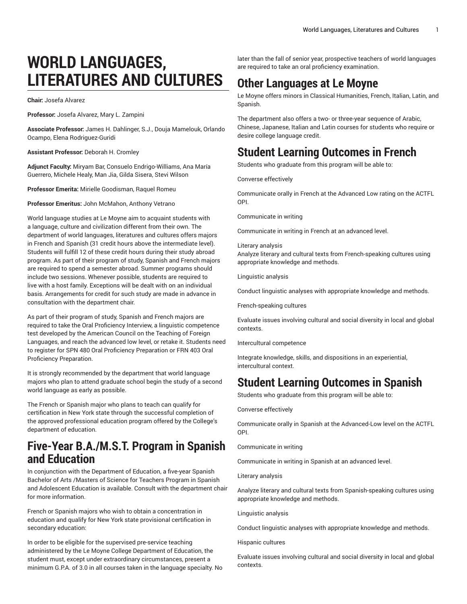# **WORLD LANGUAGES, LITERATURES AND CULTURES**

**Chair:** Josefa Alvarez

**Professor:** Josefa Alvarez, Mary L. Zampini

**Associate Professor:** James H. Dahlinger, S.J., Douja Mamelouk, Orlando Ocampo, Elena Rodriguez-Guridi

**Assistant Professor:** Deborah H. Cromley

**Adjunct Faculty:** Miryam Bar, Consuelo Endrigo-Williams, Ana María Guerrero, Michele Healy, Man Jia, Gilda Sisera, Stevi Wilson

**Professor Emerita:** Mirielle Goodisman, Raquel Romeu

**Professor Emeritus:** John McMahon, Anthony Vetrano

World language studies at Le Moyne aim to acquaint students with a language, culture and civilization different from their own. The department of world languages, literatures and cultures offers majors in French and Spanish (31 credit hours above the intermediate level). Students will fulfill 12 of these credit hours during their study abroad program. As part of their program of study, Spanish and French majors are required to spend a semester abroad. Summer programs should include two sessions. Whenever possible, students are required to live with a host family. Exceptions will be dealt with on an individual basis. Arrangements for credit for such study are made in advance in consultation with the department chair.

As part of their program of study, Spanish and French majors are required to take the Oral Proficiency Interview, a linguistic competence test developed by the American Council on the Teaching of Foreign Languages, and reach the advanced low level, or retake it. Students need to register for SPN 480 Oral Proficiency Preparation or FRN 403 Oral Proficiency Preparation.

It is strongly recommended by the department that world language majors who plan to attend graduate school begin the study of a second world language as early as possible.

The French or Spanish major who plans to teach can qualify for certification in New York state through the successful completion of the approved professional education program offered by the College's department of education.

# **Five-Year B.A./M.S.T. Program in Spanish and Education**

In conjunction with the Department of Education, a five-year Spanish Bachelor of Arts /Masters of Science for Teachers Program in Spanish and Adolescent Education is available. Consult with the department chair for more information.

French or Spanish majors who wish to obtain a concentration in education and qualify for New York state provisional certification in secondary education:

In order to be eligible for the supervised pre-service teaching administered by the Le Moyne College Department of Education, the student must, except under extraordinary circumstances, present a minimum G.P.A. of 3.0 in all courses taken in the language specialty. No later than the fall of senior year, prospective teachers of world languages are required to take an oral proficiency examination.

# **Other Languages at Le Moyne**

Le Moyne offers minors in Classical Humanities, French, Italian, Latin, and Spanish.

The department also offers a two- or three-year sequence of Arabic, Chinese, Japanese, Italian and Latin courses for students who require or desire college language credit.

# **Student Learning Outcomes in French**

Students who graduate from this program will be able to:

Converse effectively

Communicate orally in French at the Advanced Low rating on the ACTFL OPI.

Communicate in writing

Communicate in writing in French at an advanced level.

#### Literary analysis

Analyze literary and cultural texts from French-speaking cultures using appropriate knowledge and methods.

Linguistic analysis

Conduct linguistic analyses with appropriate knowledge and methods.

French-speaking cultures

Evaluate issues involving cultural and social diversity in local and global contexts.

Intercultural competence

Integrate knowledge, skills, and dispositions in an experiential, intercultural context.

## **Student Learning Outcomes in Spanish**

Students who graduate from this program will be able to:

Converse effectively

Communicate orally in Spanish at the Advanced-Low level on the ACTFL OPI.

Communicate in writing

Communicate in writing in Spanish at an advanced level.

Literary analysis

Analyze literary and cultural texts from Spanish-speaking cultures using appropriate knowledge and methods.

Linguistic analysis

Conduct linguistic analyses with appropriate knowledge and methods.

Hispanic cultures

Evaluate issues involving cultural and social diversity in local and global contexts.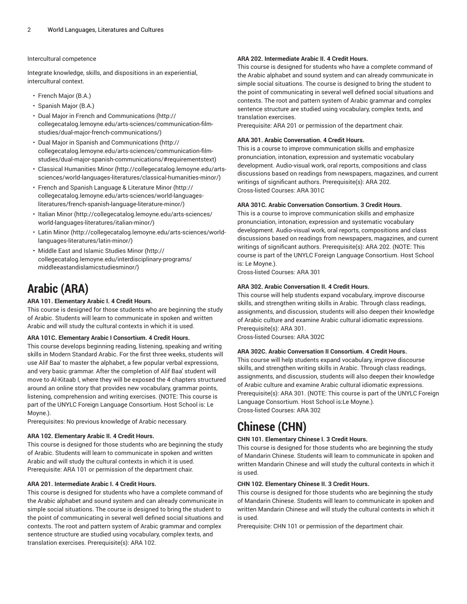#### Intercultural competence

Integrate knowledge, skills, and dispositions in an experiential, intercultural context.

- French Major (B.A.)
- Spanish Major (B.A.)
- Dual Major in French and [Communications](http://collegecatalog.lemoyne.edu/arts-sciences/communication-film-studies/dual-major-french-communications/) ([http://](http://collegecatalog.lemoyne.edu/arts-sciences/communication-film-studies/dual-major-french-communications/) [collegecatalog.lemoyne.edu/arts-sciences/communication-film](http://collegecatalog.lemoyne.edu/arts-sciences/communication-film-studies/dual-major-french-communications/)[studies/dual-major-french-communications/](http://collegecatalog.lemoyne.edu/arts-sciences/communication-film-studies/dual-major-french-communications/))
- [Dual Major in Spanish and Communications](http://collegecatalog.lemoyne.edu/arts-sciences/communication-film-studies/dual-major-spanish-communications/#requirementstext) [\(http://](http://collegecatalog.lemoyne.edu/arts-sciences/communication-film-studies/dual-major-spanish-communications/#requirementstext) [collegecatalog.lemoyne.edu/arts-sciences/communication-film](http://collegecatalog.lemoyne.edu/arts-sciences/communication-film-studies/dual-major-spanish-communications/#requirementstext)[studies/dual-major-spanish-communications/#requirementstext](http://collegecatalog.lemoyne.edu/arts-sciences/communication-film-studies/dual-major-spanish-communications/#requirementstext))
- [Classical Humanities Minor \(http://collegecatalog.lemoyne.edu/arts](http://collegecatalog.lemoyne.edu/arts-sciences/world-languages-literatures/classical-humanities-minor/)[sciences/world-languages-literatures/classical-humanities-minor/\)](http://collegecatalog.lemoyne.edu/arts-sciences/world-languages-literatures/classical-humanities-minor/)
- French and Spanish [Language](http://collegecatalog.lemoyne.edu/arts-sciences/world-languages-literatures/french-spanish-language-literature-minor/) & Literature Minor ([http://](http://collegecatalog.lemoyne.edu/arts-sciences/world-languages-literatures/french-spanish-language-literature-minor/) [collegecatalog.lemoyne.edu/arts-sciences/world-languages](http://collegecatalog.lemoyne.edu/arts-sciences/world-languages-literatures/french-spanish-language-literature-minor/)[literatures/french-spanish-language-literature-minor/\)](http://collegecatalog.lemoyne.edu/arts-sciences/world-languages-literatures/french-spanish-language-literature-minor/)
- [Italian Minor](http://collegecatalog.lemoyne.edu/arts-sciences/world-languages-literatures/italian-minor/) ([http://collegecatalog.lemoyne.edu/arts-sciences/](http://collegecatalog.lemoyne.edu/arts-sciences/world-languages-literatures/italian-minor/) [world-languages-literatures/italian-minor/\)](http://collegecatalog.lemoyne.edu/arts-sciences/world-languages-literatures/italian-minor/)
- [Latin Minor \(http://collegecatalog.lemoyne.edu/arts-sciences/world](http://collegecatalog.lemoyne.edu/arts-sciences/world-languages-literatures/latin-minor/)[languages-literatures/latin-minor/](http://collegecatalog.lemoyne.edu/arts-sciences/world-languages-literatures/latin-minor/))
- [Middle East and Islamic Studies Minor](http://collegecatalog.lemoyne.edu/interdisciplinary-programs/middleeastandislamicstudiesminor/) ([http://](http://collegecatalog.lemoyne.edu/interdisciplinary-programs/middleeastandislamicstudiesminor/) [collegecatalog.lemoyne.edu/interdisciplinary-programs/](http://collegecatalog.lemoyne.edu/interdisciplinary-programs/middleeastandislamicstudiesminor/) [middleeastandislamicstudiesminor/\)](http://collegecatalog.lemoyne.edu/interdisciplinary-programs/middleeastandislamicstudiesminor/)

# **Arabic (ARA)**

## **ARA 101. Elementary Arabic I. 4 Credit Hours.**

This course is designed for those students who are beginning the study of Arabic. Students will learn to communicate in spoken and written Arabic and will study the cultural contexts in which it is used.

#### **ARA 101C. Elementary Arabic I Consortium. 4 Credit Hours.**

This course develops beginning reading, listening, speaking and writing skills in Modern Standard Arabic. For the first three weeks, students will use Alif Baa' to master the alphabet, a few popular verbal expressions, and very basic grammar. After the completion of Alif Baa' student will move to Al-Kitaab I, where they will be exposed the 4 chapters structured around an online story that provides new vocabulary, grammar points, listening, comprehension and writing exercises. (NOTE: This course is part of the UNYLC Foreign Language Consortium. Host School is: Le Moyne.).

Prerequisites: No previous knowledge of Arabic necessary.

#### **ARA 102. Elementary Arabic II. 4 Credit Hours.**

This course is designed for those students who are beginning the study of Arabic. Students will learn to communicate in spoken and written Arabic and will study the cultural contexts in which it is used. Prerequisite: ARA 101 or permission of the department chair.

## **ARA 201. Intermediate Arabic I. 4 Credit Hours.**

This course is designed for students who have a complete command of the Arabic alphabet and sound system and can already communicate in simple social situations. The course is designed to bring the student to the point of communicating in several well defined social situations and contexts. The root and pattern system of Arabic grammar and complex sentence structure are studied using vocabulary, complex texts, and translation exercises. Prerequisite(s): ARA 102.

#### **ARA 202. Intermediate Arabic II. 4 Credit Hours.**

This course is designed for students who have a complete command of the Arabic alphabet and sound system and can already communicate in simple social situations. The course is designed to bring the student to the point of communicating in several well defined social situations and contexts. The root and pattern system of Arabic grammar and complex sentence structure are studied using vocabulary, complex texts, and translation exercises.

Prerequisite: ARA 201 or permission of the department chair.

#### **ARA 301. Arabic Conversation. 4 Credit Hours.**

This is a course to improve communication skills and emphasize pronunciation, intonation, expression and systematic vocabulary development. Audio-visual work, oral reports, compositions and class discussions based on readings from newspapers, magazines, and current writings of significant authors. Prerequisite(s): ARA 202. Cross-listed Courses: ARA 301C

#### **ARA 301C. Arabic Conversation Consortium. 3 Credit Hours.**

This is a course to improve communication skills and emphasize pronunciation, intonation, expression and systematic vocabulary development. Audio-visual work, oral reports, compositions and class discussions based on readings from newspapers, magazines, and current writings of significant authors. Prerequisite(s): ARA 202. (NOTE: This course is part of the UNYLC Foreign Language Consortium. Host School is: Le Moyne.).

Cross-listed Courses: ARA 301

#### **ARA 302. Arabic Conversation II. 4 Credit Hours.**

This course will help students expand vocabulary, improve discourse skills, and strengthen writing skills in Arabic. Through class readings, assignments, and discussion, students will also deepen their knowledge of Arabic culture and examine Arabic cultural idiomatic expressions. Prerequisite(s): ARA 301.

Cross-listed Courses: ARA 302C

## **ARA 302C. Arabic Conversation II Consortium. 4 Credit Hours.**

This course will help students expand vocabulary, improve discourse skills, and strengthen writing skills in Arabic. Through class readings, assignments, and discussion, students will also deepen their knowledge of Arabic culture and examine Arabic cultural idiomatic expressions. Prerequisite(s): ARA 301. (NOTE: This course is part of the UNYLC Foreign Language Consortium. Host School is:Le Moyne.). Cross-listed Courses: ARA 302

# **Chinese (CHN)**

#### **CHN 101. Elementary Chinese I. 3 Credit Hours.**

This course is designed for those students who are beginning the study of Mandarin Chinese. Students will learn to communicate in spoken and written Mandarin Chinese and will study the cultural contexts in which it is used.

#### **CHN 102. Elementary Chinese II. 3 Credit Hours.**

This course is designed for those students who are beginning the study of Mandarin Chinese. Students will learn to communicate in spoken and written Mandarin Chinese and will study the cultural contexts in which it is used.

Prerequisite: CHN 101 or permission of the department chair.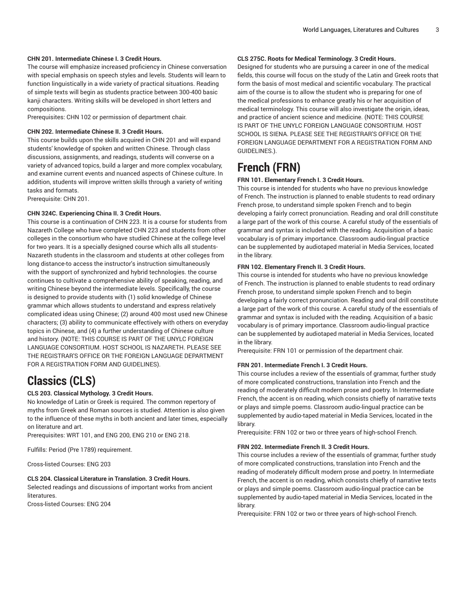#### **CHN 201. Intermediate Chinese I. 3 Credit Hours.**

The course will emphasize increased proficiency in Chinese conversation with special emphasis on speech styles and levels. Students will learn to function linguistically in a wide variety of practical situations. Reading of simple texts will begin as students practice between 300-400 basic kanji characters. Writing skills will be developed in short letters and compositions.

Prerequisites: CHN 102 or permission of department chair.

#### **CHN 202. Intermediate Chinese II. 3 Credit Hours.**

This course builds upon the skills acquired in CHN 201 and will expand students' knowledge of spoken and written Chinese. Through class discussions, assignments, and readings, students will converse on a variety of advanced topics, build a larger and more complex vocabulary, and examine current events and nuanced aspects of Chinese culture. In addition, students will improve written skills through a variety of writing tasks and formats.

Prerequisite: CHN 201.

## **CHN 324C. Experiencing China II. 3 Credit Hours.**

This course is a continuation of CHN 223. It is a course for students from Nazareth College who have completed CHN 223 and students from other colleges in the consortium who have studied Chinese at the college level for two years. It is a specially designed course which alls all students-Nazareth students in the classroom and students at other colleges from long distance-to access the instructor's instruction simultaneously with the support of synchronized and hybrid technologies. the course continues to cultivate a comprehensive ability of speaking, reading, and writing Chinese beyond the intermediate levels. Specifically, the course is designed to provide students with (1) solid knowledge of Chinese grammar which allows students to understand and express relatively complicated ideas using Chinese; (2) around 400 most used new Chinese characters; (3) ability to communicate effectively with others on everyday topics in Chinese, and (4) a further understanding of Chinese culture and history. (NOTE: THIS COURSE IS PART OF THE UNYLC FOREIGN LANGUAGE CONSORTIUM. HOST SCHOOL IS NAZARETH. PLEASE SEE THE REGISTRAR'S OFFICE OR THE FOREIGN LANGUAGE DEPARTMENT FOR A REGISTRATION FORM AND GUIDELINES).

## **Classics (CLS)**

## **CLS 203. Classical Mythology. 3 Credit Hours.**

No knowledge of Latin or Greek is required. The common repertory of myths from Greek and Roman sources is studied. Attention is also given to the influence of these myths in both ancient and later times, especially on literature and art.

Prerequisites: WRT 101, and ENG 200, ENG 210 or ENG 218.

Fulfills: Period (Pre 1789) requirement.

Cross-listed Courses: ENG 203

## **CLS 204. Classical Literature in Translation. 3 Credit Hours.**

Selected readings and discussions of important works from ancient literatures.

Cross-listed Courses: ENG 204

#### **CLS 275C. Roots for Medical Terminology. 3 Credit Hours.**

Designed for students who are pursuing a career in one of the medical fields, this course will focus on the study of the Latin and Greek roots that form the basis of most medical and scientific vocabulary. The practical aim of the course is to allow the student who is preparing for one of the medical professions to enhance greatly his or her acquisition of medical terminology. This course will also investigate the origin, ideas, and practice of ancient science and medicine. (NOTE: THIS COURSE IS PART OF THE UNYLC FOREIGN LANGUAGE CONSORTIUM. HOST SCHOOL IS SIENA. PLEASE SEE THE REGISTRAR'S OFFICE OR THE FOREIGN LANGUAGE DEPARTMENT FOR A REGISTRATION FORM AND GUIDELINES.).

## **French (FRN)**

### **FRN 101. Elementary French I. 3 Credit Hours.**

This course is intended for students who have no previous knowledge of French. The instruction is planned to enable students to read ordinary French prose, to understand simple spoken French and to begin developing a fairly correct pronunciation. Reading and oral drill constitute a large part of the work of this course. A careful study of the essentials of grammar and syntax is included with the reading. Acquisition of a basic vocabulary is of primary importance. Classroom audio-lingual practice can be supplemented by audiotaped material in Media Services, located in the library.

#### **FRN 102. Elementary French II. 3 Credit Hours.**

This course is intended for students who have no previous knowledge of French. The instruction is planned to enable students to read ordinary French prose, to understand simple spoken French and to begin developing a fairly correct pronunciation. Reading and oral drill constitute a large part of the work of this course. A careful study of the essentials of grammar and syntax is included with the reading. Acquisition of a basic vocabulary is of primary importance. Classroom audio-lingual practice can be supplemented by audiotaped material in Media Services, located in the library.

Prerequisite: FRN 101 or permission of the department chair.

#### **FRN 201. Intermediate French I. 3 Credit Hours.**

This course includes a review of the essentials of grammar, further study of more complicated constructions, translation into French and the reading of moderately difficult modern prose and poetry. In Intermediate French, the accent is on reading, which consists chiefly of narrative texts or plays and simple poems. Classroom audio-lingual practice can be supplemented by audio-taped material in Media Services, located in the library.

Prerequisite: FRN 102 or two or three years of high-school French.

#### **FRN 202. Intermediate French II. 3 Credit Hours.**

This course includes a review of the essentials of grammar, further study of more complicated constructions, translation into French and the reading of moderately difficult modern prose and poetry. In Intermediate French, the accent is on reading, which consists chiefly of narrative texts or plays and simple poems. Classroom audio-lingual practice can be supplemented by audio-taped material in Media Services, located in the library.

Prerequisite: FRN 102 or two or three years of high-school French.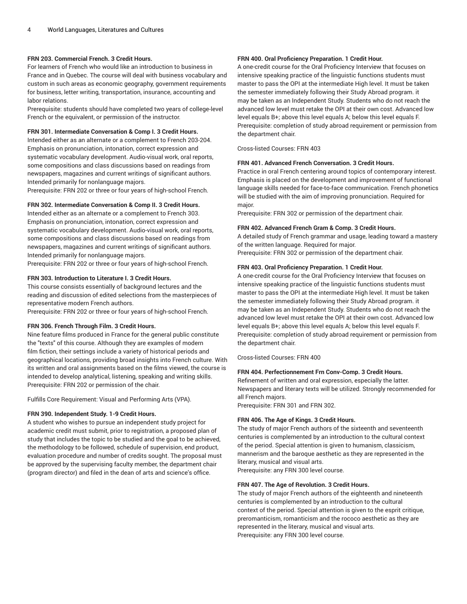### **FRN 203. Commercial French. 3 Credit Hours.**

For learners of French who would like an introduction to business in France and in Quebec. The course will deal with business vocabulary and custom in such areas as economic geography, government requirements for business, letter writing, transportation, insurance, accounting and labor relations.

Prerequisite: students should have completed two years of college-level French or the equivalent, or permission of the instructor.

#### **FRN 301. Intermediate Conversation & Comp I. 3 Credit Hours.**

Intended either as an alternate or a complement to French 203-204. Emphasis on pronunciation, intonation, correct expression and systematic vocabulary development. Audio-visual work, oral reports, some compositions and class discussions based on readings from newspapers, magazines and current writings of significant authors. Intended primarily for nonlanguage majors.

Prerequisite: FRN 202 or three or four years of high-school French.

#### **FRN 302. Intermediate Conversation & Comp II. 3 Credit Hours.**

Intended either as an alternate or a complement to French 303. Emphasis on pronunciation, intonation, correct expression and systematic vocabulary development. Audio-visual work, oral reports, some compositions and class discussions based on readings from newspapers, magazines and current writings of significant authors. Intended primarily for nonlanguage majors.

Prerequisite: FRN 202 or three or four years of high-school French.

#### **FRN 303. Introduction to Literature I. 3 Credit Hours.**

This course consists essentially of background lectures and the reading and discussion of edited selections from the masterpieces of representative modern French authors.

Prerequisite: FRN 202 or three or four years of high-school French.

#### **FRN 306. French Through Film. 3 Credit Hours.**

Nine feature films produced in France for the general public constitute the "texts" of this course. Although they are examples of modern film fiction, their settings include a variety of historical periods and geographical locations, providing broad insights into French culture. With its written and oral assignments based on the films viewed, the course is intended to develop analytical, listening, speaking and writing skills. Prerequisite: FRN 202 or permission of the chair.

Fulfills Core Requirement: Visual and Performing Arts (VPA).

#### **FRN 390. Independent Study. 1-9 Credit Hours.**

A student who wishes to pursue an independent study project for academic credit must submit, prior to registration, a proposed plan of study that includes the topic to be studied and the goal to be achieved, the methodology to be followed, schedule of supervision, end product, evaluation procedure and number of credits sought. The proposal must be approved by the supervising faculty member, the department chair (program director) and filed in the dean of arts and science's office.

## **FRN 400. Oral Proficiency Preparation. 1 Credit Hour.**

A one-credit course for the Oral Proficiency Interview that focuses on intensive speaking practice of the linguistic functions students must master to pass the OPI at the intermediate High level. It must be taken the semester immediately following their Study Abroad program. it may be taken as an Independent Study. Students who do not reach the advanced low level must retake the OPI at their own cost. Advanced low level equals B+; above this level equals A; below this level equals F. Prerequisite: completion of study abroad requirement or permission from the department chair.

Cross-listed Courses: FRN 403

#### **FRN 401. Advanced French Conversation. 3 Credit Hours.**

Practice in oral French centering around topics of contemporary interest. Emphasis is placed on the development and improvement of functional language skills needed for face-to-face communication. French phonetics will be studied with the aim of improving pronunciation. Required for major.

Prerequisite: FRN 302 or permission of the department chair.

#### **FRN 402. Advanced French Gram & Comp. 3 Credit Hours.**

A detailed study of French grammar and usage, leading toward a mastery of the written language. Required for major.

Prerequisite: FRN 302 or permission of the department chair.

### **FRN 403. Oral Proficiency Preparation. 1 Credit Hour.**

A one-credit course for the Oral Proficiency Interview that focuses on intensive speaking practice of the linguistic functions students must master to pass the OPI at the intermediate High level. It must be taken the semester immediately following their Study Abroad program. it may be taken as an Independent Study. Students who do not reach the advanced low level must retake the OPI at their own cost. Advanced low level equals B+; above this level equals A; below this level equals F. Prerequisite: completion of study abroad requirement or permission from the department chair.

Cross-listed Courses: FRN 400

#### **FRN 404. Perfectionnement Frn Conv-Comp. 3 Credit Hours.**

Refinement of written and oral expression, especially the latter. Newspapers and literary texts will be utilized. Strongly recommended for all French majors.

Prerequisite: FRN 301 and FRN 302.

#### **FRN 406. The Age of Kings. 3 Credit Hours.**

The study of major French authors of the sixteenth and seventeenth centuries is complemented by an introduction to the cultural context of the period. Special attention is given to humanism, classicism, mannerism and the baroque aesthetic as they are represented in the literary, musical and visual arts.

Prerequisite: any FRN 300 level course.

#### **FRN 407. The Age of Revolution. 3 Credit Hours.**

The study of major French authors of the eighteenth and nineteenth centuries is complemented by an introduction to the cultural context of the period. Special attention is given to the esprit critique, preromanticism, romanticism and the rococo aesthetic as they are represented in the literary, musical and visual arts. Prerequisite: any FRN 300 level course.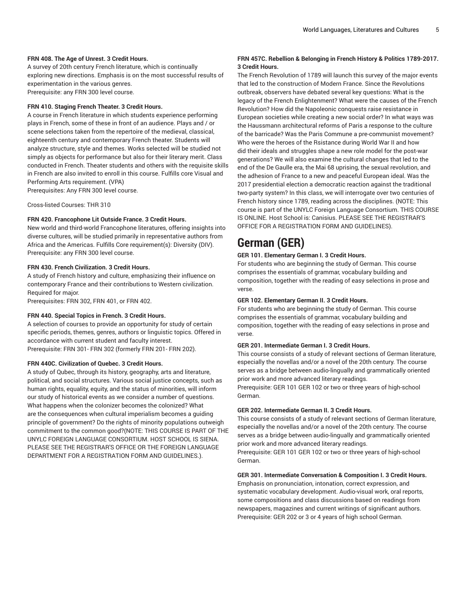## **FRN 408. The Age of Unrest. 3 Credit Hours.**

A survey of 20th century French literature, which is continually exploring new directions. Emphasis is on the most successful results of experimentation in the various genres. Prerequisite: any FRN 300 level course.

#### **FRN 410. Staging French Theater. 3 Credit Hours.**

A course in French literature in which students experience performing plays in French, some of these in front of an audience. Plays and / or scene selections taken from the repertoire of the medieval, classical, eighteenth century and contemporary French theater. Students will analyze structure, style and themes. Works selected will be studied not simply as objects for performance but also for their literary merit. Class conducted in French. Theater students and others with the requisite skills in French are also invited to enroll in this course. Fulfills core Visual and Performing Arts requirement. (VPA) Prerequisites: Any FRN 300 level course.

Cross-listed Courses: THR 310

#### **FRN 420. Francophone Lit Outside France. 3 Credit Hours.**

New world and third-world Francophone literatures, offering insights into diverse cultures, will be studied primarily in representative authors from Africa and the Americas. Fulfills Core requirement(s): Diversity (DIV). Prerequisite: any FRN 300 level course.

### **FRN 430. French Civilization. 3 Credit Hours.**

A study of French history and culture, emphasizing their influence on contemporary France and their contributions to Western civilization. Required for major.

Prerequisites: FRN 302, FRN 401, or FRN 402.

#### **FRN 440. Special Topics in French. 3 Credit Hours.**

A selection of courses to provide an opportunity for study of certain specific periods, themes, genres, authors or linguistic topics. Offered in accordance with current student and faculty interest. Prerequisite: FRN 301- FRN 302 (formerly FRN 201- FRN 202).

#### **FRN 440C. Civilization of Quebec. 3 Credit Hours.**

A study of Qubec, through its history, geography, arts and literature, political, and social structures. Various social justice concepts, such as human rights, equality, equity, and the status of minorities, will inform our study of historical events as we consider a number of questions. What happens when the colonizer becomes the colonized? What are the consequences when cultural imperialism becomes a guiding principle of government? Do the rights of minority populations outweigh commitment to the common good?(NOTE: THIS COURSE IS PART OF THE UNYLC FOREIGN LANGUAGE CONSORTIUM. HOST SCHOOL IS SIENA. PLEASE SEE THE REGISTRAR'S OFFICE OR THE FOREIGN LANGUAGE DEPARTMENT FOR A REGISTRATION FORM AND GUIDELINES.).

## **FRN 457C. Rebellion & Belonging in French History & Politics 1789-2017. 3 Credit Hours.**

The French Revolution of 1789 will launch this survey of the major events that led to the construction of Modern France. Since the Revolutions outbreak, observers have debated several key questions: What is the legacy of the French Enlightenment? What were the causes of the French Revolution? How did the Napoleonic conquests raise resistance in European societies while creating a new social order? In what ways was the Haussmann architectural reforms of Paris a response to the culture of the barricade? Was the Paris Commune a pre-communist movement? Who were the heroes of the Rsistance during World War II and how did their ideals and struggles shape a new role model for the post-war generations? We will also examine the cultural changes that led to the end of the De Gaulle era, the Mai 68 uprising, the sexual revolution, and the adhesion of France to a new and peaceful European ideal. Was the 2017 presidential election a democratic reaction against the traditional two-party system? In this class, we will interrogate over two centuries of French history since 1789, reading across the disciplines. (NOTE: This course is part of the UNYLC Foreign Language Consortium. THIS COURSE IS ONLINE. Host School is: Canisius. PLEASE SEE THE REGISTRAR'S OFFICE FOR A REGISTRATION FORM AND GUIDELINES).

# **German (GER)**

#### **GER 101. Elementary German I. 3 Credit Hours.**

For students who are beginning the study of German. This course comprises the essentials of grammar, vocabulary building and composition, together with the reading of easy selections in prose and verse.

#### **GER 102. Elementary German II. 3 Credit Hours.**

For students who are beginning the study of German. This course comprises the essentials of grammar, vocabulary building and composition, together with the reading of easy selections in prose and verse.

#### **GER 201. Intermediate German I. 3 Credit Hours.**

This course consists of a study of relevant sections of German literature, especially the novellas and/or a novel of the 20th century. The course serves as a bridge between audio-lingually and grammatically oriented prior work and more advanced literary readings.

Prerequisite: GER 101 GER 102 or two or three years of high-school German.

#### **GER 202. Intermediate German II. 3 Credit Hours.**

This course consists of a study of relevant sections of German literature, especially the novellas and/or a novel of the 20th century. The course serves as a bridge between audio-lingually and grammatically oriented prior work and more advanced literary readings.

Prerequisite: GER 101 GER 102 or two or three years of high-school German.

## **GER 301. Intermediate Conversation & Composition I. 3 Credit Hours.**

Emphasis on pronunciation, intonation, correct expression, and systematic vocabulary development. Audio-visual work, oral reports, some compositions and class discussions based on readings from newspapers, magazines and current writings of significant authors. Prerequisite: GER 202 or 3 or 4 years of high school German.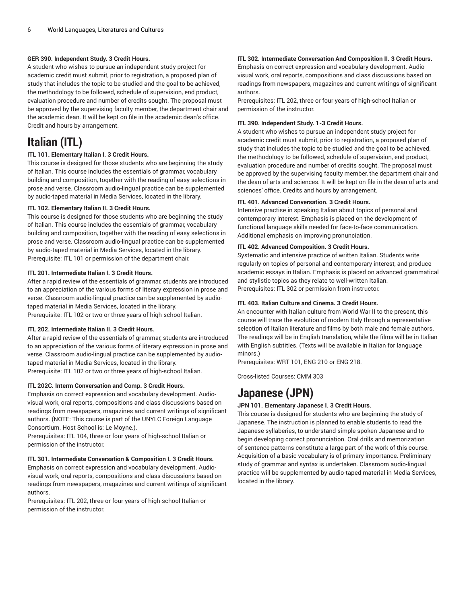## **GER 390. Independent Study. 3 Credit Hours.**

A student who wishes to pursue an independent study project for academic credit must submit, prior to registration, a proposed plan of study that includes the topic to be studied and the goal to be achieved, the methodology to be followed, schedule of supervision, end product, evaluation procedure and number of credits sought. The proposal must be approved by the supervising faculty member, the department chair and the academic dean. It will be kept on file in the academic dean's office. Credit and hours by arrangement.

# **Italian (ITL)**

## **ITL 101. Elementary Italian I. 3 Credit Hours.**

This course is designed for those students who are beginning the study of Italian. This course includes the essentials of grammar, vocabulary building and composition, together with the reading of easy selections in prose and verse. Classroom audio-lingual practice can be supplemented by audio-taped material in Media Services, located in the library.

## **ITL 102. Elementary Italian II. 3 Credit Hours.**

This course is designed for those students who are beginning the study of Italian. This course includes the essentials of grammar, vocabulary building and composition, together with the reading of easy selections in prose and verse. Classroom audio-lingual practice can be supplemented by audio-taped material in Media Services, located in the library. Prerequisite: ITL 101 or permission of the department chair.

## **ITL 201. Intermediate Italian I. 3 Credit Hours.**

After a rapid review of the essentials of grammar, students are introduced to an appreciation of the various forms of literary expression in prose and verse. Classroom audio-lingual practice can be supplemented by audiotaped material in Media Services, located in the library. Prerequisite: ITL 102 or two or three years of high-school Italian.

#### **ITL 202. Intermediate Italian II. 3 Credit Hours.**

After a rapid review of the essentials of grammar, students are introduced to an appreciation of the various forms of literary expression in prose and verse. Classroom audio-lingual practice can be supplemented by audiotaped material in Media Services, located in the library. Prerequisite: ITL 102 or two or three years of high-school Italian.

#### **ITL 202C. Interm Conversation and Comp. 3 Credit Hours.**

Emphasis on correct expression and vocabulary development. Audiovisual work, oral reports, compositions and class discussions based on readings from newspapers, magazines and current writings of significant authors. (NOTE: This course is part of the UNYLC Foreign Language Consortium. Host School is: Le Moyne.).

Prerequisites: ITL 104, three or four years of high-school Italian or permission of the instructor.

#### **ITL 301. Intermediate Conversation & Composition I. 3 Credit Hours.**

Emphasis on correct expression and vocabulary development. Audiovisual work, oral reports, compositions and class discussions based on readings from newspapers, magazines and current writings of significant authors.

Prerequisites: ITL 202, three or four years of high-school Italian or permission of the instructor.

## **ITL 302. Intermediate Conversation And Composition II. 3 Credit Hours.**

Emphasis on correct expression and vocabulary development. Audiovisual work, oral reports, compositions and class discussions based on readings from newspapers, magazines and current writings of significant authors.

Prerequisites: ITL 202, three or four years of high-school Italian or permission of the instructor.

### **ITL 390. Independent Study. 1-3 Credit Hours.**

A student who wishes to pursue an independent study project for academic credit must submit, prior to registration, a proposed plan of study that includes the topic to be studied and the goal to be achieved, the methodology to be followed, schedule of supervision, end product, evaluation procedure and number of credits sought. The proposal must be approved by the supervising faculty member, the department chair and the dean of arts and sciences. It will be kept on file in the dean of arts and sciences' office. Credits and hours by arrangement.

## **ITL 401. Advanced Conversation. 3 Credit Hours.**

Intensive practise in speaking Italian about topics of personal and contemporary interest. Emphasis is placed on the development of functional language skills needed for face-to-face communication. Additional emphasis on improving pronunciation.

#### **ITL 402. Advanced Composition. 3 Credit Hours.**

Systematic and intensive practice of written Italian. Students write regularly on topics of personal and contemporary interest, and produce academic essays in Italian. Emphasis is placed on advanced grammatical and stylistic topics as they relate to well-written Italian. Prerequisites: ITL 302 or permission from instructor.

## **ITL 403. Italian Culture and Cinema. 3 Credit Hours.**

An encounter with Italian culture from World War II to the present, this course will trace the evolution of modern Italy through a representative selection of Italian literature and films by both male and female authors. The readings will be in English translation, while the films will be in Italian with English subtitles. (Texts will be available in Italian for language minors.)

Prerequisites: WRT 101, ENG 210 or ENG 218.

Cross-listed Courses: CMM 303

# **Japanese (JPN)**

## **JPN 101. Elementary Japanese I. 3 Credit Hours.**

This course is designed for students who are beginning the study of Japanese. The instruction is planned to enable students to read the Japanese syllaberies, to understand simple spoken Japanese and to begin developing correct pronunciation. Oral drills and memorization of sentence patterns constitute a large part of the work of this course. Acquisition of a basic vocabulary is of primary importance. Preliminary study of grammar and syntax is undertaken. Classroom audio-lingual practice will be supplemented by audio-taped material in Media Services, located in the library.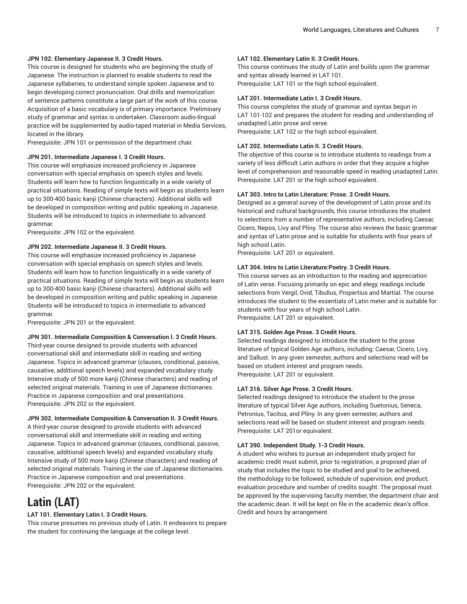## **JPN 102. Elementary Japanese II. 3 Credit Hours.**

This course is designed for students who are beginning the study of Japanese. The instruction is planned to enable students to read the Japanese syllaberies, to understand simple spoken Japanese and to begin developing correct pronunciation. Oral drills and memorization of sentence patterns constitute a large part of the work of this course. Acquisition of a basic vocabulary is of primary importance. Preliminary study of grammar and syntax is undertaken. Classroom audio-lingual practice will be supplemented by audio-taped material in Media Services, located in the library.

Prerequisite: JPN 101 or permission of the department chair.

#### **JPN 201. Intermediate Japanese I. 3 Credit Hours.**

This course will emphasize increased proficiency in Japanese conversation with special emphasis on speech styles and levels. Students will learn how to function linguistically in a wide variety of practical situations. Reading of simple texts will begin as students learn up to 300-400 basic kanji (Chinese characters). Additional skills will be developed in composition writing and public speaking in Japanese. Students will be introduced to topics in intermediate to advanced grammar.

Prerequisite: JPN 102 or the equivalent.

#### **JPN 202. Intermediate Japanese II. 3 Credit Hours.**

This course will emphasize increased proficiency in Japanese conversation with special emphasis on speech styles and levels. Students will learn how to function linguistically in a wide variety of practical situations. Reading of simple texts will begin as students learn up to 300-400 basic kanji (Chinese characters). Additional skills will be developed in composition writing and public speaking in Japanese. Students will be introduced to topics in intermediate to advanced grammar.

Prerequisite: JPN 201 or the equivalent.

#### **JPN 301. Intermediate Composition & Conversation I. 3 Credit Hours.**

Third-year course designed to provide students with advanced conversational skill and intermediate skill in reading and writing Japanese. Topics in advanced grammar (clauses, conditional, passive, causative, additional speech levels) and expanded vocabulary study. Intensive study of 500 more kanji (Chinese characters) and reading of selected original materials. Training in use of Japanese dictionaries. Practice in Japanese composition and oral presentations. Prerequisite: JPN 202 or the equivalent.

#### **JPN 302. Intermediate Composition & Conversation II. 3 Credit Hours.**

A third-year course designed to provide students with advanced conversational skill and intermediate skill in reading and writing Japanese. Topics in advanced grammar (clauses, conditional, passive, causative, additional speech levels) and expanded vocabulary study. Intensive study of 500 more kanji (Chinese characters) and reading of selected original materials. Training in the use of Japanese dictionaries. Practice in Japanese composition and oral presentations. Prerequisite: JPN 202 or the equivalent.

## **Latin (LAT)**

#### **LAT 101. Elementary Latin I. 3 Credit Hours.**

This course presumes no previous study of Latin. It endeavors to prepare the student for continuing the language at the college level.

#### **LAT 102. Elementary Latin II. 3 Credit Hours.**

This course continues the study of Latin and builds upon the grammar and syntax already learned in LAT 101. Prerequisite: LAT 101 or the high school equivalent.

#### **LAT 201. Intermediate Latin I. 3 Credit Hours.**

This course completes the study of grammar and syntax begun in LAT 101-102 and prepares the student for reading and understanding of unadapted Latin prose and verse. Prerequisite: LAT 102 or the high school equivalent.

#### **LAT 202. Intermediate Latin II. 3 Credit Hours.**

The objective of this course is to introduce students to readings from a variety of less difficult Latin authors in order that they acquire a higher level of comprehension and reasonable speed in reading unadapted Latin. Prerequisite: LAT 201 or the high school equivalent.

#### **LAT 303. Intro to Latin Literature: Prose. 3 Credit Hours.**

Designed as a general survey of the development of Latin prose and its historical and cultural backgrounds, this course introduces the student to selections from a number of representative authors, including Caesar, Cicero, Nepos, Livy and Pliny. The course also reviews the basic grammar and syntax of Latin prose and is suitable for students with four years of high school Latin.

Prerequisite: LAT 201 or equivalent.

#### **LAT 304. Intro to Latin Literature:Poetry. 3 Credit Hours.**

This course serves as an introduction to the reading and appreciation of Latin verse. Focusing primarily on epic and elegy, readings include selections from Vergil, Ovid, Tibullus, Propertius and Martial. The course introduces the student to the essentials of Latin meter and is suitable for students with four years of high school Latin. Prerequisite: LAT 201 or equivalent.

#### **LAT 315. Golden Age Prose. 3 Credit Hours.**

Selected readings designed to introduce the student to the prose literature of typical Golden Age authors, including: Caesar, Cicero, Livy, and Sallust. In any given semester, authors and selections read will be based on student interest and program needs. Prerequisite: LAT 201 or equivalent.

#### **LAT 316. Silver Age Prose. 3 Credit Hours.**

Selected readings designed to introduce the student to the prose literature of typical Silver Age authors, including Suetonius, Seneca, Petronius, Tacitus, and Pliny. In any given semester, authors and selections read will be based on student interest and program needs. Prerequisite: LAT 201or equivalent.

#### **LAT 390. Independent Study. 1-3 Credit Hours.**

A student who wishes to pursue an independent study project for academic credit must submit, prior to registration, a proposed plan of study that includes the topic to be studied and goal to be achieved, the methodology to be followed, schedule of supervision, end product, evaluation procedure and number of credits sought. The proposal must be approved by the supervising faculty member, the department chair and the academic dean. It will be kept on file in the academic dean's office. Credit and hours by arrangement.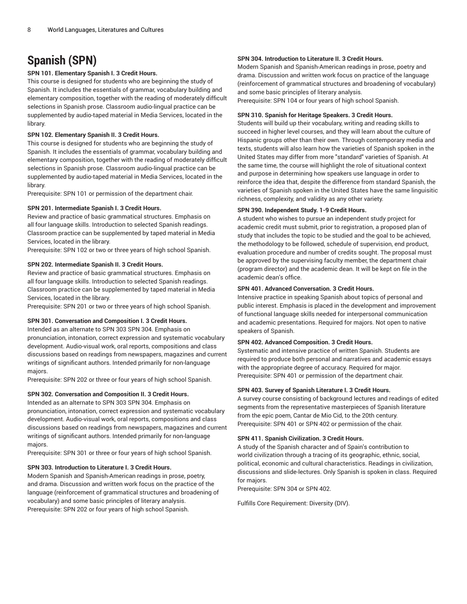# **Spanish (SPN)**

## **SPN 101. Elementary Spanish I. 3 Credit Hours.**

This course is designed for students who are beginning the study of Spanish. It includes the essentials of grammar, vocabulary building and elementary composition, together with the reading of moderately difficult selections in Spanish prose. Classroom audio-lingual practice can be supplemented by audio-taped material in Media Services, located in the library.

## **SPN 102. Elementary Spanish II. 3 Credit Hours.**

This course is designed for students who are beginning the study of Spanish. It includes the essentials of grammar, vocabulary building and elementary composition, together with the reading of moderately difficult selections in Spanish prose. Classroom audio-lingual practice can be supplemented by audio-taped material in Media Services, located in the library.

Prerequisite: SPN 101 or permission of the department chair.

## **SPN 201. Intermediate Spanish I. 3 Credit Hours.**

Review and practice of basic grammatical structures. Emphasis on all four language skills. Introduction to selected Spanish readings. Classroom practice can be supplemented by taped material in Media Services, located in the library.

Prerequisite: SPN 102 or two or three years of high school Spanish.

## **SPN 202. Intermediate Spanish II. 3 Credit Hours.**

Review and practice of basic grammatical structures. Emphasis on all four language skills. Introduction to selected Spanish readings. Classroom practice can be supplemented by taped material in Media Services, located in the library.

Prerequisite: SPN 201 or two or three years of high school Spanish.

## **SPN 301. Conversation and Composition I. 3 Credit Hours.**

Intended as an alternate to SPN 303 SPN 304. Emphasis on pronunciation, intonation, correct expression and systematic vocabulary development. Audio-visual work, oral reports, compositions and class discussions based on readings from newspapers, magazines and current writings of significant authors. Intended primarily for non-language majors.

Prerequisite: SPN 202 or three or four years of high school Spanish.

## **SPN 302. Conversation and Composition II. 3 Credit Hours.**

Intended as an alternate to SPN 303 SPN 304. Emphasis on pronunciation, intonation, correct expression and systematic vocabulary development. Audio-visual work, oral reports, compositions and class discussions based on readings from newspapers, magazines and current writings of significant authors. Intended primarily for non-language majors.

Prerequisite: SPN 301 or three or four years of high school Spanish.

## **SPN 303. Introduction to Literature I. 3 Credit Hours.**

Modern Spanish and Spanish-American readings in prose, poetry, and drama. Discussion and written work focus on the practice of the language (reinforcement of grammatical structures and broadening of vocabulary) and some basic principles of literary analysis. Prerequisite: SPN 202 or four years of high school Spanish.

## **SPN 304. Introduction to Literature II. 3 Credit Hours.**

Modern Spanish and Spanish-American readings in prose, poetry and drama. Discussion and written work focus on practice of the language (reinforcement of grammatical structures and broadening of vocabulary) and some basic principles of literary analysis.

Prerequisite: SPN 104 or four years of high school Spanish.

### **SPN 310. Spanish for Heritage Speakers. 3 Credit Hours.**

Students will build up their vocabulary, writing and reading skills to succeed in higher level courses, and they will learn about the culture of Hispanic groups other than their own. Through contemporary media and texts, students will also learn how the varieties of Spanish spoken in the United States may differ from more "standard" varieties of Spanish. At the same time, the course will highlight the role of situational context and purpose in determining how speakers use language in order to reinforce the idea that, despite the difference from standard Spanish, the varieties of Spanish spoken in the United States have the same linguisitic richness, complexity, and validity as any other variety.

## **SPN 390. Independent Study. 1-9 Credit Hours.**

A student who wishes to pursue an independent study project for academic credit must submit, prior to registration, a proposed plan of study that includes the topic to be studied and the goal to be achieved, the methodology to be followed, schedule of supervision, end product, evaluation procedure and number of credits sought. The proposal must be approved by the supervising faculty member, the department chair (program director) and the academic dean. It will be kept on file in the academic dean's office.

#### **SPN 401. Advanced Conversation. 3 Credit Hours.**

Intensive practice in speaking Spanish about topics of personal and public interest. Emphasis is placed in the development and improvement of functional language skills needed for interpersonal communication and academic presentations. Required for majors. Not open to native speakers of Spanish.

## **SPN 402. Advanced Composition. 3 Credit Hours.**

Systematic and intensive practice of written Spanish. Students are required to produce both personal and narratives and academic essays with the appropriate degree of accuracy. Required for major. Prerequisite: SPN 401 or permission of the department chair.

#### **SPN 403. Survey of Spanish Literature I. 3 Credit Hours.**

A survey course consisting of background lectures and readings of edited segments from the representative masterpieces of Spanish literature from the epic poem, Cantar de Mio Cid, to the 20th century. Prerequisite: SPN 401 or SPN 402 or permission of the chair.

#### **SPN 411. Spanish Civilization. 3 Credit Hours.**

A study of the Spanish character and of Spain's contribution to world civilization through a tracing of its geographic, ethnic, social, political, economic and cultural characteristics. Readings in civilization, discussions and slide-lectures. Only Spanish is spoken in class. Required for majors.

Prerequisite: SPN 304 or SPN 402.

Fulfills Core Requirement: Diversity (DIV).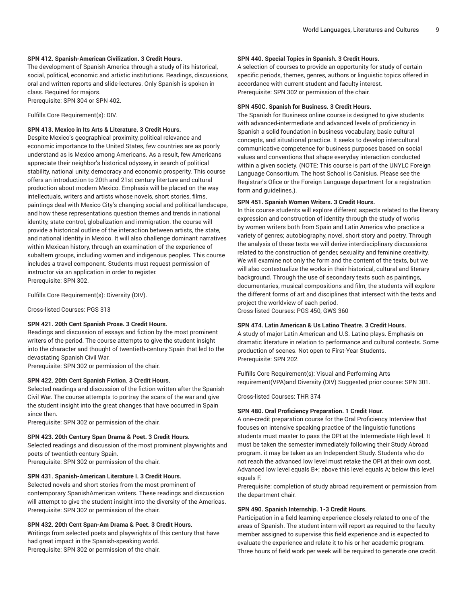### **SPN 412. Spanish-American Civilization. 3 Credit Hours.**

The development of Spanish America through a study of its historical, social, political, economic and artistic institutions. Readings, discussions, oral and written reports and slide-lectures. Only Spanish is spoken in class. Required for majors.

Prerequisite: SPN 304 or SPN 402.

Fulfills Core Requirement(s): DIV.

## **SPN 413. Mexico in Its Arts & Literature. 3 Credit Hours.**

Despite Mexico's geographical proximity, political relevance and economic importance to the United States, few countries are as poorly understand as is Mexico among Americans. As a result, few Americans appreciate their neighbor's historical odyssey, in search of political stability, national unity, democracy and economic prosperity. This course offers an introduction to 20th and 21st century literture and cultural production about modern Mexico. Emphasis will be placed on the way intellectuals, writers and artists whose novels, short stories, films, paintings deal with Mexico City's changing social and political landscape, and how these representations question themes and trends in national identity, state control, globalization and immigration. the course will provide a historical outline of the interaction between artists, the state, and national identity in Mexico. It will also challenge dominant narratives within Mexican history, through an examination of the experience of subaltern groups, including women and indigenous peoples. This course includes a travel component. Students must request permission of instructor via an application in order to register. Prerequisite: SPN 302.

Fulfills Core Requirement(s): Diversity (DIV).

Cross-listed Courses: PGS 313

#### **SPN 421. 20th Cent Spanish Prose. 3 Credit Hours.**

Readings and discussion of essays and fiction by the most prominent writers of the period. The course attempts to give the student insight into the character and thought of twentieth-century Spain that led to the devastating Spanish Civil War.

Prerequisite: SPN 302 or permission of the chair.

#### **SPN 422. 20th Cent Spanish Fiction. 3 Credit Hours.**

Selected readings and discussion of the fiction written after the Spanish Civil War. The course attempts to portray the scars of the war and give the student insight into the great changes that have occurred in Spain since then.

Prerequisite: SPN 302 or permission of the chair.

#### **SPN 423. 20th Century Span Drama & Poet. 3 Credit Hours.**

Selected readings and discussion of the most prominent playwrights and poets of twentieth-century Spain.

Prerequisite: SPN 302 or permission of the chair.

#### **SPN 431. Spanish-American Literature I. 3 Credit Hours.**

Selected novels and short stories from the most prominent of contemporary SpanishAmerican writers. These readings and discussion will attempt to give the student insight into the diversity of the Americas. Prerequisite: SPN 302 or permission of the chair.

#### **SPN 432. 20th Cent Span-Am Drama & Poet. 3 Credit Hours.**

Writings from selected poets and playwrights of this century that have had great impact in the Spanish-speaking world. Prerequisite: SPN 302 or permission of the chair.

#### **SPN 440. Special Topics in Spanish. 3 Credit Hours.**

A selection of courses to provide an opportunity for study of certain specific periods, themes, genres, authors or linguistic topics offered in accordance with current student and faculty interest. Prerequisite: SPN 302 or permission of the chair.

#### **SPN 450C. Spanish for Business. 3 Credit Hours.**

The Spanish for Business online course is designed to give students with advanced-intermediate and advanced levels of proficiency in Spanish a solid foundation in business vocabulary, basic cultural concepts, and situational practice. It seeks to develop intercultural communicative competence for business purposes based on social values and conventions that shape everyday interaction conducted within a given society. (NOTE: This course is part of the UNYLC Foreign Language Consortium. The host School is Canisius. Please see the Registrar's Ofice or the Foreign Language department for a registration form and guidelines.).

#### **SPN 451. Spanish Women Writers. 3 Credit Hours.**

In this course students will explore different aspects related to the literary expression and construction of identity through the study of works by women writers both from Spain and Latin America who practice a variety of genres; autobiography, novel, short story and poetry. Through the analysis of these texts we will derive interdisciplinary discussions related to the construction of gender, sexuality and feminine creativity. We will examine not only the form and the content of the texts, but we will also contextualize the works in their historical, cultural and literary background. Through the use of secondary texts such as paintings, documentaries, musical compositions and film, the students will explore the different forms of art and disciplines that intersect with the texts and project the worldview of each period. Cross-listed Courses: PGS 450, GWS 360

#### **SPN 474. Latin American & Us Latino Theatre. 3 Credit Hours.**

A study of major Latin American and U.S. Latino plays. Emphasis on dramatic literature in relation to performance and cultural contexts. Some production of scenes. Not open to First-Year Students. Prerequisite: SPN 202.

Fulfills Core Requirement(s): Visual and Performing Arts requirement(VPA)and Diversity (DIV) Suggested prior course: SPN 301.

Cross-listed Courses: THR 374

#### **SPN 480. Oral Proficiency Preparation. 1 Credit Hour.**

A one-credit preparation course for the Oral Proficiency Interview that focuses on intensive speaking practice of the linguistic functions students must master to pass the OPI at the Intermediate High level. It must be taken the semester immediately following their Study Abroad program. it may be taken as an Independent Study. Students who do not reach the advanced low level must retake the OPI at their own cost. Advanced low level equals B+; above this level equals A; below this level equals F.

Prerequisite: completion of study abroad requirement or permission from the department chair.

#### **SPN 490. Spanish Internship. 1-3 Credit Hours.**

Participation in a field learning experience closely related to one of the areas of Spanish. The student intern will report as required to the faculty member assigned to supervise this field experience and is expected to evaluate the experience and relate it to his or her academic program. Three hours of field work per week will be required to generate one credit.